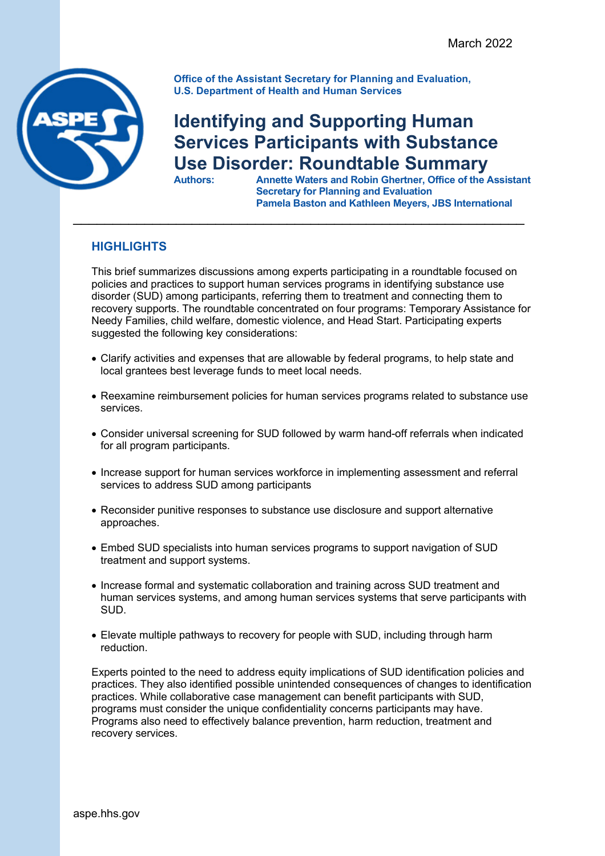

**Office of the Assistant Secretary for Planning and Evaluation, U.S. Department of Health and Human Services** 

# **Identifying and Supporting Human Services Participants with Substance Use Disorder: Roundtable Summary**<br>Authors: Annette Waters and Robin Ghertner, Office of the A

**Annette Waters and Robin Ghertner, Office of the Assistant Secretary for Planning and Evaluation Pamela Baston and Kathleen Meyers, JBS International**

## **HIGHLIGHTS**

This brief summarizes discussions among experts participating in a roundtable focused on policies and practices to support human services programs in identifying substance use disorder (SUD) among participants, referring them to treatment and connecting them to recovery supports. The roundtable concentrated on four programs: Temporary Assistance for Needy Families, child welfare, domestic violence, and Head Start. Participating experts suggested the following key considerations:

\_\_\_\_\_\_\_\_\_\_\_\_\_\_\_\_\_\_\_\_\_\_\_\_\_\_\_\_\_\_\_\_\_\_\_\_\_\_\_\_\_\_\_\_\_\_\_\_\_\_\_\_\_\_\_\_\_

- Clarify activities and expenses that are allowable by federal programs, to help state and local grantees best leverage funds to meet local needs.
- Reexamine reimbursement policies for human services programs related to substance use services.
- Consider universal screening for SUD followed by warm hand-off referrals when indicated for all program participants.
- Increase support for human services workforce in implementing assessment and referral services to address SUD among participants
- Reconsider punitive responses to substance use disclosure and support alternative approaches.
- Embed SUD specialists into human services programs to support navigation of SUD treatment and support systems.
- Increase formal and systematic collaboration and training across SUD treatment and human services systems, and among human services systems that serve participants with SUD.
- Elevate multiple pathways to recovery for people with SUD, including through harm reduction.

Experts pointed to the need to address equity implications of SUD identification policies and practices. They also identified possible unintended consequences of changes to identification practices. While collaborative case management can benefit participants with SUD, programs must consider the unique confidentiality concerns participants may have. Programs also need to effectively balance prevention, harm reduction, treatment and recovery services.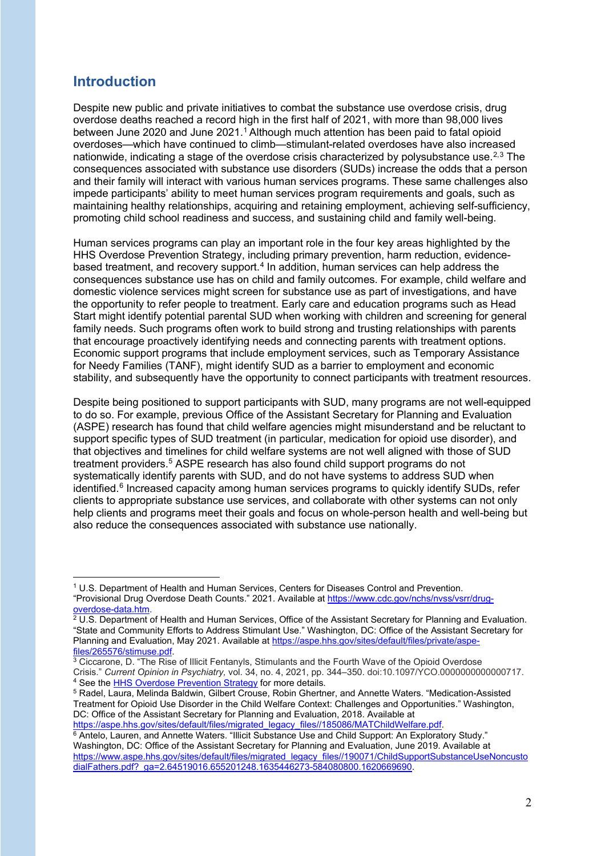## **Introduction**

Despite new public and private initiatives to combat the substance use overdose crisis, drug overdose deaths reached a record high in the first half of 2021, with more than 98,000 lives between June 2020 and June 202[1](#page-1-0).<sup>1</sup> Although much attention has been paid to fatal opioid overdoses—which have continued to climb—stimulant-related overdoses have also increased nationwide, indicating a stage of the overdose crisis characterized by polysubstance use.<sup>[2](#page-1-1),[3](#page-1-2)</sup> The consequences associated with substance use disorders (SUDs) increase the odds that a person and their family will interact with various human services programs. These same challenges also impede participants' ability to meet human services program requirements and goals, such as maintaining healthy relationships, acquiring and retaining employment, achieving self-sufficiency, promoting child school readiness and success, and sustaining child and family well-being.

Human services programs can play an important role in the four key areas highlighted by the HHS Overdose Prevention Strategy, including primary prevention, harm reduction, evidence-based treatment, and recovery support.<sup>[4](#page-1-3)</sup> In addition, human services can help address the consequences substance use has on child and family outcomes. For example, child welfare and domestic violence services might screen for substance use as part of investigations, and have the opportunity to refer people to treatment. Early care and education programs such as Head Start might identify potential parental SUD when working with children and screening for general family needs. Such programs often work to build strong and trusting relationships with parents that encourage proactively identifying needs and connecting parents with treatment options. Economic support programs that include employment services, such as Temporary Assistance for Needy Families (TANF), might identify SUD as a barrier to employment and economic stability, and subsequently have the opportunity to connect participants with treatment resources.

Despite being positioned to support participants with SUD, many programs are not well-equipped to do so. For example, previous Office of the Assistant Secretary for Planning and Evaluation (ASPE) research has found that child welfare agencies might misunderstand and be reluctant to support specific types of SUD treatment (in particular, medication for opioid use disorder), and that objectives and timelines for child welfare systems are not well aligned with those of SUD treatment providers.<sup>[5](#page-1-4)</sup> ASPE research has also found child support programs do not systematically identify parents with SUD, and do not have systems to address SUD when identified. $6$  Increased capacity among human services programs to quickly identify SUDs, refer clients to appropriate substance use services, and collaborate with other systems can not only help clients and programs meet their goals and focus on whole-person health and well-being but also reduce the consequences associated with substance use nationally.

<span id="page-1-0"></span><sup>1</sup> U.S. Department of Health and Human Services, Centers for Diseases Control and Prevention. "Provisional Drug Overdose Death Counts." 2021. Available at [https://www.cdc.gov/nchs/nvss/vsrr/drug-](https://www.cdc.gov/nchs/nvss/vsrr/drug-overdose-data.htm)<u>overdose-data.htm</u>.

<span id="page-1-1"></span> $^2$  U.S. Department of Health and Human Services, Office of the Assistant Secretary for Planning and Evaluation. "State and Community Efforts to Address Stimulant Use." Washington, DC: Office of the Assistant Secretary for Planning and Evaluation, May 2021. Available at [https://aspe.hhs.gov/sites/default/files/private/aspe](https://aspe.hhs.gov/sites/default/files/private/aspe-files/265576/stimuse.pdf)[files/265576/stimuse.pdf.](https://aspe.hhs.gov/sites/default/files/private/aspe-files/265576/stimuse.pdf)

<span id="page-1-2"></span><sup>&</sup>lt;sup>3</sup> Ciccarone, D. "The Rise of Illicit Fentanyls, Stimulants and the Fourth Wave of the Opioid Overdose<br>Crisis." Current Opinion in Psychiatry, vol. 34, no. 4, 2021, pp. 344–350. doi:10.1097/YCO.000000000000717. 4 See the HHS Overdose Prevention Strategy [f](https://www.hhs.gov/overdose-prevention/)or more details.<br>5 Radel, Laura, Melinda Baldwin, Gilbert Crouse, Robin Ghertner, and Annette Waters. "Medication-Assisted

<span id="page-1-4"></span><span id="page-1-3"></span>Treatment for Opioid Use Disorder in the Child Welfare Context: Challenges and Opportunities." Washington, DC: Office of the Assistant Secretary for Planning and Evaluation, 2018. Available at https://aspe.hhs.gov/sites/default/files/migrated legacy files//185086/MATChildWelfare.pdf

<span id="page-1-5"></span><sup>6</sup> Antelo, Lauren, and Annette Waters. "Illicit Substance Use and Child Support: An Exploratory Study." Washington, DC: Office of the Assistant Secretary for Planning and Evaluation, June 2019. Available at [https://www.aspe.hhs.gov/sites/default/files/migrated\\_legacy\\_files//190071/ChildSupportSubstanceUseNoncusto](https://www.aspe.hhs.gov/sites/default/files/migrated_legacy_files/190071/ChildSupportSubstanceUseNoncustodialFathers.pdf?_ga=2.64519016.655201248.1635446273-584080800.1620669690) [dialFathers.pdf?\\_ga=2.64519016.655201248.1635446273-584080800.1620669690.](https://www.aspe.hhs.gov/sites/default/files/migrated_legacy_files/190071/ChildSupportSubstanceUseNoncustodialFathers.pdf?_ga=2.64519016.655201248.1635446273-584080800.1620669690)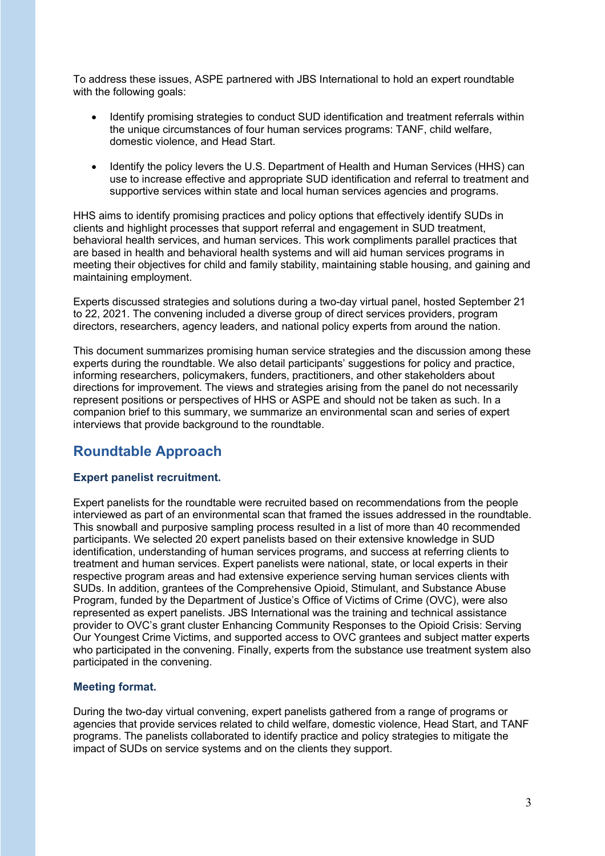To address these issues, ASPE partnered with JBS International to hold an expert roundtable with the following goals:

- Identify promising strategies to conduct SUD identification and treatment referrals within the unique circumstances of four human services programs: TANF, child welfare, domestic violence, and Head Start.
- Identify the policy levers the U.S. Department of Health and Human Services (HHS) can use to increase effective and appropriate SUD identification and referral to treatment and supportive services within state and local human services agencies and programs.

HHS aims to identify promising practices and policy options that effectively identify SUDs in clients and highlight processes that support referral and engagement in SUD treatment, behavioral health services, and human services. This work compliments parallel practices that are based in health and behavioral health systems and will aid human services programs in meeting their objectives for child and family stability, maintaining stable housing, and gaining and maintaining employment.

Experts discussed strategies and solutions during a two-day virtual panel, hosted September 21 to 22, 2021. The convening included a diverse group of direct services providers, program directors, researchers, agency leaders, and national policy experts from around the nation.

This document summarizes promising human service strategies and the discussion among these experts during the roundtable. We also detail participants' suggestions for policy and practice, informing researchers, policymakers, funders, practitioners, and other stakeholders about directions for improvement. The views and strategies arising from the panel do not necessarily represent positions or perspectives of HHS or ASPE and should not be taken as such. In a companion brief to this summary, we summarize an environmental scan and series of expert interviews that provide background to the roundtable.

# **Roundtable Approach**

#### **Expert panelist recruitment.**

Expert panelists for the roundtable were recruited based on recommendations from the people interviewed as part of an environmental scan that framed the issues addressed in the roundtable. This snowball and purposive sampling process resulted in a list of more than 40 recommended participants. We selected 20 expert panelists based on their extensive knowledge in SUD identification, understanding of human services programs, and success at referring clients to treatment and human services. Expert panelists were national, state, or local experts in their respective program areas and had extensive experience serving human services clients with SUDs. In addition, grantees of the Comprehensive Opioid, Stimulant, and Substance Abuse Program, funded by the Department of Justice's Office of Victims of Crime (OVC), were also represented as expert panelists. JBS International was the training and technical assistance provider to OVC's grant cluster Enhancing Community Responses to the Opioid Crisis: Serving Our Youngest Crime Victims, and supported access to OVC grantees and subject matter experts who participated in the convening. Finally, experts from the substance use treatment system also participated in the convening.

#### **Meeting format.**

During the two-day virtual convening, expert panelists gathered from a range of programs or agencies that provide services related to child welfare, domestic violence, Head Start, and TANF programs. The panelists collaborated to identify practice and policy strategies to mitigate the impact of SUDs on service systems and on the clients they support.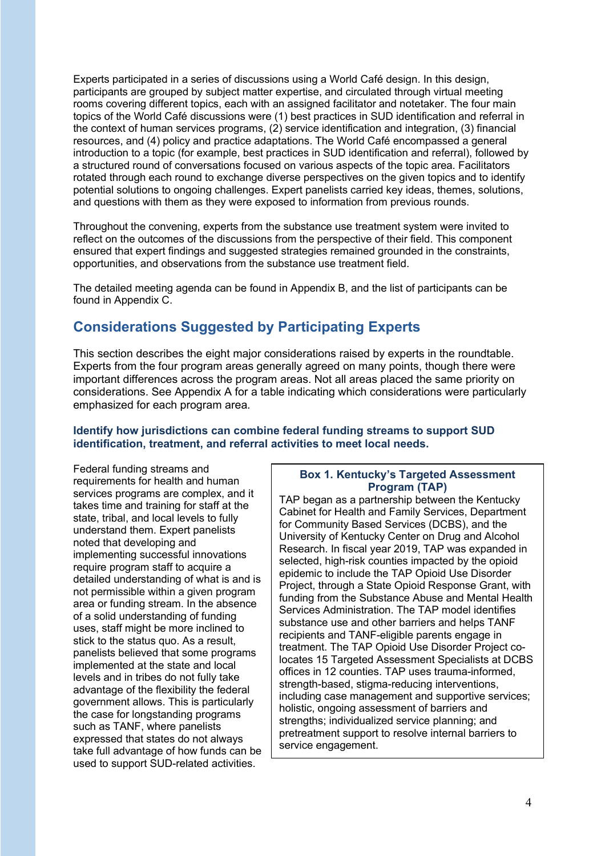Experts participated in a series of discussions using a World Café design. In this design, participants are grouped by subject matter expertise, and circulated through virtual meeting rooms covering different topics, each with an assigned facilitator and notetaker. The four main topics of the World Café discussions were (1) best practices in SUD identification and referral in the context of human services programs, (2) service identification and integration, (3) financial resources, and (4) policy and practice adaptations. The World Café encompassed a general introduction to a topic (for example, best practices in SUD identification and referral), followed by a structured round of conversations focused on various aspects of the topic area. Facilitators rotated through each round to exchange diverse perspectives on the given topics and to identify potential solutions to ongoing challenges. Expert panelists carried key ideas, themes, solutions, and questions with them as they were exposed to information from previous rounds.

Throughout the convening, experts from the substance use treatment system were invited to reflect on the outcomes of the discussions from the perspective of their field. This component ensured that expert findings and suggested strategies remained grounded in the constraints, opportunities, and observations from the substance use treatment field.

The detailed meeting agenda can be found in Appendix B, and the list of participants can be found in Appendix C.

# **Considerations Suggested by Participating Experts**

This section describes the eight major considerations raised by experts in the roundtable. Experts from the four program areas generally agreed on many points, though there were important differences across the program areas. Not all areas placed the same priority on considerations. See Appendix A for a table indicating which considerations were particularly emphasized for each program area.

#### **Identify how jurisdictions can combine federal funding streams to support SUD identification, treatment, and referral activities to meet local needs.**

Federal funding streams and requirements for health and human services programs are complex, and it takes time and training for staff at the state, tribal, and local levels to fully understand them. Expert panelists noted that developing and implementing successful innovations require program staff to acquire a detailed understanding of what is and is not permissible within a given program area or funding stream. In the absence of a solid understanding of funding uses, staff might be more inclined to stick to the status quo. As a result, panelists believed that some programs implemented at the state and local levels and in tribes do not fully take advantage of the flexibility the federal government allows. This is particularly the case for longstanding programs such as TANF, where panelists expressed that states do not always take full advantage of how funds can be used to support SUD-related activities.

#### **Box 1. Kentucky's Targeted Assessment Program (TAP)**

TAP began as a partnership between the Kentucky Cabinet for Health and Family Services, Department for Community Based Services (DCBS), and the University of Kentucky Center on Drug and Alcohol Research. In fiscal year 2019, TAP was expanded in selected, high-risk counties impacted by the opioid epidemic to include the TAP Opioid Use Disorder Project, through a State Opioid Response Grant, with funding from the Substance Abuse and Mental Health Services Administration. The TAP model identifies substance use and other barriers and helps TANF recipients and TANF-eligible parents engage in treatment. The TAP Opioid Use Disorder Project colocates 15 Targeted Assessment Specialists at DCBS offices in 12 counties. TAP uses trauma-informed, strength-based, stigma-reducing interventions, including case management and supportive services; holistic, ongoing assessment of barriers and strengths; individualized service planning; and pretreatment support to resolve internal barriers to service engagement.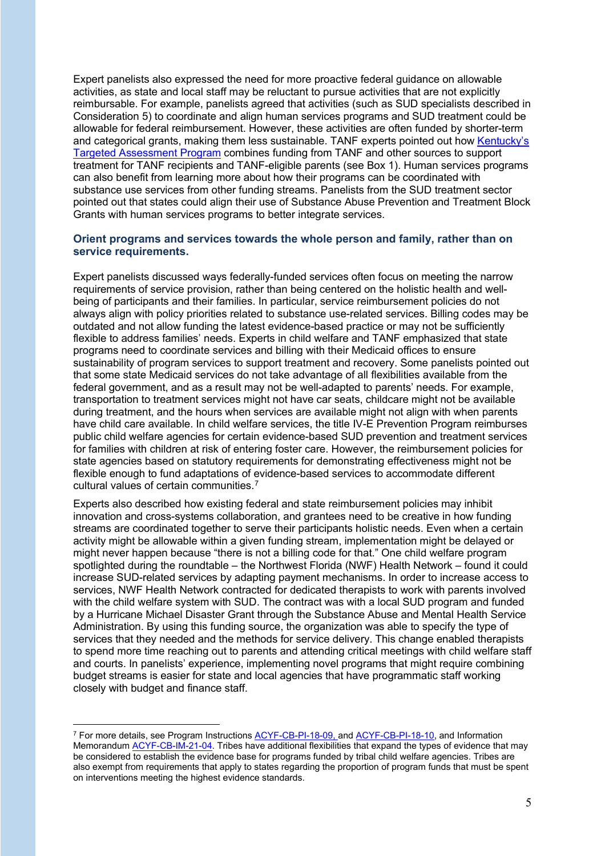Expert panelists also expressed the need for more proactive federal guidance on allowable activities, as state and local staff may be reluctant to pursue activities that are not explicitly reimbursable. For example, panelists agreed that activities (such as SUD specialists described in Consideration 5) to coordinate and align human services programs and SUD treatment could be allowable for federal reimbursement. However, these activities are often funded by shorter-term and categorical grants, making them less sustainable. TANF experts pointed out how Kentucky's [Targeted Assessment Program](https://www.workforcegps.org/resources/2018/09/12/11/20/Kentucky-Targeted-Assessment-Program-TAP) combines funding from TANF and other sources to support treatment for TANF recipients and TANF-eligible parents (see Box 1). Human services programs can also benefit from learning more about how their programs can be coordinated with substance use services from other funding streams. Panelists from the SUD treatment sector pointed out that states could align their use of Substance Abuse Prevention and Treatment Block Grants with human services programs to better integrate services.

#### **Orient programs and services towards the whole person and family, rather than on service requirements.**

Expert panelists discussed ways federally-funded services often focus on meeting the narrow requirements of service provision, rather than being centered on the holistic health and wellbeing of participants and their families. In particular, service reimbursement policies do not always align with policy priorities related to substance use-related services. Billing codes may be outdated and not allow funding the latest evidence-based practice or may not be sufficiently flexible to address families' needs. Experts in child welfare and TANF emphasized that state programs need to coordinate services and billing with their Medicaid offices to ensure sustainability of program services to support treatment and recovery. Some panelists pointed out that some state Medicaid services do not take advantage of all flexibilities available from the federal government, and as a result may not be well-adapted to parents' needs. For example, transportation to treatment services might not have car seats, childcare might not be available during treatment, and the hours when services are available might not align with when parents have child care available. In child welfare services, the title IV-E Prevention Program reimburses public child welfare agencies for certain evidence-based SUD prevention and treatment services for families with children at risk of entering foster care. However, the reimbursement policies for state agencies based on statutory requirements for demonstrating effectiveness might not be flexible enough to fund adaptations of evidence-based services to accommodate different cultural values of certain communities.[7](#page-4-0)

Experts also described how existing federal and state reimbursement policies may inhibit innovation and cross-systems collaboration, and grantees need to be creative in how funding streams are coordinated together to serve their participants holistic needs. Even when a certain activity might be allowable within a given funding stream, implementation might be delayed or might never happen because "there is not a billing code for that." One child welfare program spotlighted during the roundtable – the Northwest Florida (NWF) Health Network – found it could increase SUD-related services by adapting payment mechanisms. In order to increase access to services, NWF Health Network contracted for dedicated therapists to work with parents involved with the child welfare system with SUD. The contract was with a local SUD program and funded by a Hurricane Michael Disaster Grant through the Substance Abuse and Mental Health Service Administration. By using this funding source, the organization was able to specify the type of services that they needed and the methods for service delivery. This change enabled therapists to spend more time reaching out to parents and attending critical meetings with child welfare staff and courts. In panelists' experience, implementing novel programs that might require combining budget streams is easier for state and local agencies that have programmatic staff working closely with budget and finance staff.

<span id="page-4-0"></span><sup>&</sup>lt;sup>7</sup> For more details, see Program Instructions [ACYF-CB-PI-18-09,](https://www.acf.hhs.gov/cb/policy-guidance/pi-18-09) and [ACYF-CB-PI-18-10,](https://www.acf.hhs.gov/sites/default/files/documents/cb/pi1810.pdf) and Information Memorandum [ACYF-CB-IM-21-04.](https://www.acf.hhs.gov/cb/policy-guidance/im-21-04) Tribes have additional flexibilities that expand the types of evidence that may be considered to establish the evidence base for programs funded by tribal child welfare agencies. Tribes are also exempt from requirements that apply to states regarding the proportion of program funds that must be spent on interventions meeting the highest evidence standards.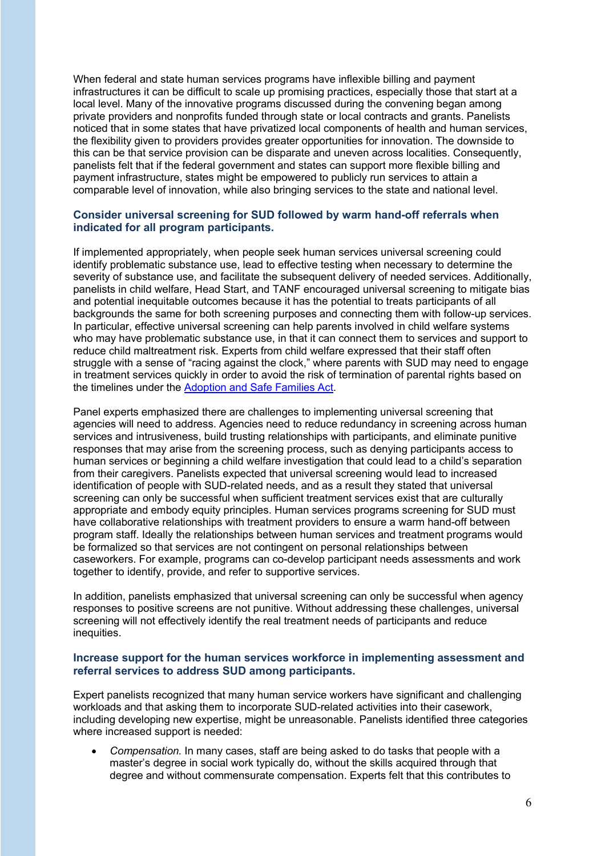When federal and state human services programs have inflexible billing and payment infrastructures it can be difficult to scale up promising practices, especially those that start at a local level. Many of the innovative programs discussed during the convening began among private providers and nonprofits funded through state or local contracts and grants. Panelists noticed that in some states that have privatized local components of health and human services, the flexibility given to providers provides greater opportunities for innovation. The downside to this can be that service provision can be disparate and uneven across localities. Consequently, panelists felt that if the federal government and states can support more flexible billing and payment infrastructure, states might be empowered to publicly run services to attain a comparable level of innovation, while also bringing services to the state and national level.

#### **Consider universal screening for SUD followed by warm hand-off referrals when indicated for all program participants.**

If implemented appropriately, when people seek human services universal screening could identify problematic substance use, lead to effective testing when necessary to determine the severity of substance use, and facilitate the subsequent delivery of needed services. Additionally, panelists in child welfare, Head Start, and TANF encouraged universal screening to mitigate bias and potential inequitable outcomes because it has the potential to treats participants of all backgrounds the same for both screening purposes and connecting them with follow-up services. In particular, effective universal screening can help parents involved in child welfare systems who may have problematic substance use, in that it can connect them to services and support to reduce child maltreatment risk. Experts from child welfare expressed that their staff often struggle with a sense of "racing against the clock," where parents with SUD may need to engage in treatment services quickly in order to avoid the risk of termination of parental rights based on the timelines under the [Adoption and Safe Families Act.](https://www.congress.gov/bill/105th-congress/house-bill/867/text)

Panel experts emphasized there are challenges to implementing universal screening that agencies will need to address. Agencies need to reduce redundancy in screening across human services and intrusiveness, build trusting relationships with participants, and eliminate punitive responses that may arise from the screening process, such as denying participants access to human services or beginning a child welfare investigation that could lead to a child's separation from their caregivers. Panelists expected that universal screening would lead to increased identification of people with SUD-related needs, and as a result they stated that universal screening can only be successful when sufficient treatment services exist that are culturally appropriate and embody equity principles. Human services programs screening for SUD must have collaborative relationships with treatment providers to ensure a warm hand-off between program staff. Ideally the relationships between human services and treatment programs would be formalized so that services are not contingent on personal relationships between caseworkers. For example, programs can co-develop participant needs assessments and work together to identify, provide, and refer to supportive services.

In addition, panelists emphasized that universal screening can only be successful when agency responses to positive screens are not punitive. Without addressing these challenges, universal screening will not effectively identify the real treatment needs of participants and reduce inequities.

#### **Increase support for the human services workforce in implementing assessment and referral services to address SUD among participants.**

Expert panelists recognized that many human service workers have significant and challenging workloads and that asking them to incorporate SUD-related activities into their casework, including developing new expertise, might be unreasonable. Panelists identified three categories where increased support is needed:

• *Compensation.* In many cases, staff are being asked to do tasks that people with a master's degree in social work typically do, without the skills acquired through that degree and without commensurate compensation. Experts felt that this contributes to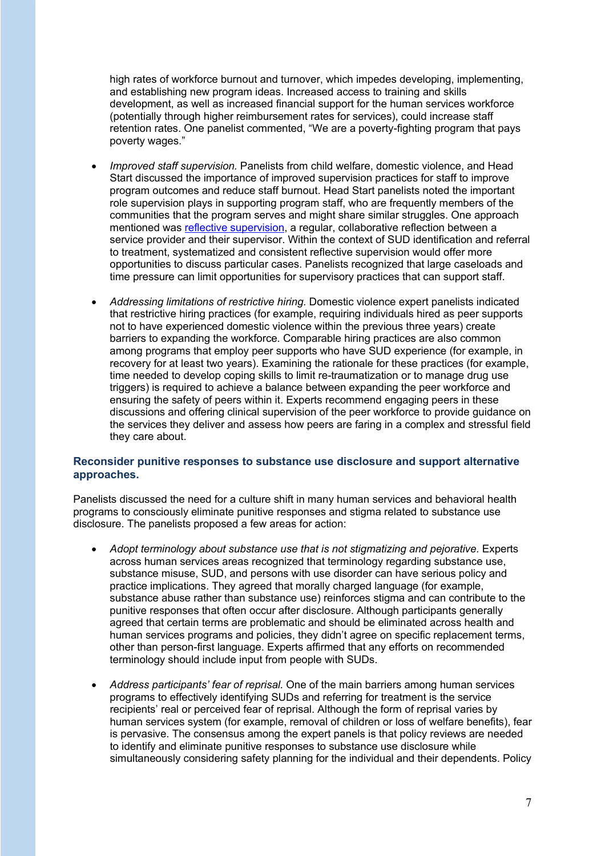high rates of workforce burnout and turnover, which impedes developing, implementing, and establishing new program ideas. Increased access to training and skills development, as well as increased financial support for the human services workforce (potentially through higher reimbursement rates for services), could increase staff retention rates. One panelist commented, "We are a poverty-fighting program that pays poverty wages."

- *Improved staff supervision.* Panelists from child welfare, domestic violence, and Head Start discussed the importance of improved supervision practices for staff to improve program outcomes and reduce staff burnout. Head Start panelists noted the important role supervision plays in supporting program staff, who are frequently members of the communities that the program serves and might share similar struggles. One approach mentioned was **reflective supervision**, a regular, collaborative reflection between a service provider and their supervisor. Within the context of SUD identification and referral to treatment, systematized and consistent reflective supervision would offer more opportunities to discuss particular cases. Panelists recognized that large caseloads and time pressure can limit opportunities for supervisory practices that can support staff.
- *Addressing limitations of restrictive hiring.* Domestic violence expert panelists indicated that restrictive hiring practices (for example, requiring individuals hired as peer supports not to have experienced domestic violence within the previous three years) create barriers to expanding the workforce. Comparable hiring practices are also common among programs that employ peer supports who have SUD experience (for example, in recovery for at least two years). Examining the rationale for these practices (for example, time needed to develop coping skills to limit re-traumatization or to manage drug use triggers) is required to achieve a balance between expanding the peer workforce and ensuring the safety of peers within it. Experts recommend engaging peers in these discussions and offering clinical supervision of the peer workforce to provide guidance on the services they deliver and assess how peers are faring in a complex and stressful field they care about.

#### **Reconsider punitive responses to substance use disclosure and support alternative approaches.**

Panelists discussed the need for a culture shift in many human services and behavioral health programs to consciously eliminate punitive responses and stigma related to substance use disclosure. The panelists proposed a few areas for action:

- Adopt terminology about substance use that is not stigmatizing and pejorative. Experts across human services areas recognized that terminology regarding substance use, substance misuse, SUD, and persons with use disorder can have serious policy and practice implications. They agreed that morally charged language (for example, substance abuse rather than substance use) reinforces stigma and can contribute to the punitive responses that often occur after disclosure. Although participants generally agreed that certain terms are problematic and should be eliminated across health and human services programs and policies, they didn't agree on specific replacement terms, other than person-first language. Experts affirmed that any efforts on recommended terminology should include input from people with SUDs.
- *Address participants' fear of reprisal.* One of the main barriers among human services programs to effectively identifying SUDs and referring for treatment is the service recipients' real or perceived fear of reprisal. Although the form of reprisal varies by human services system (for example, removal of children or loss of welfare benefits), fear is pervasive. The consensus among the expert panels is that policy reviews are needed to identify and eliminate punitive responses to substance use disclosure while simultaneously considering safety planning for the individual and their dependents. Policy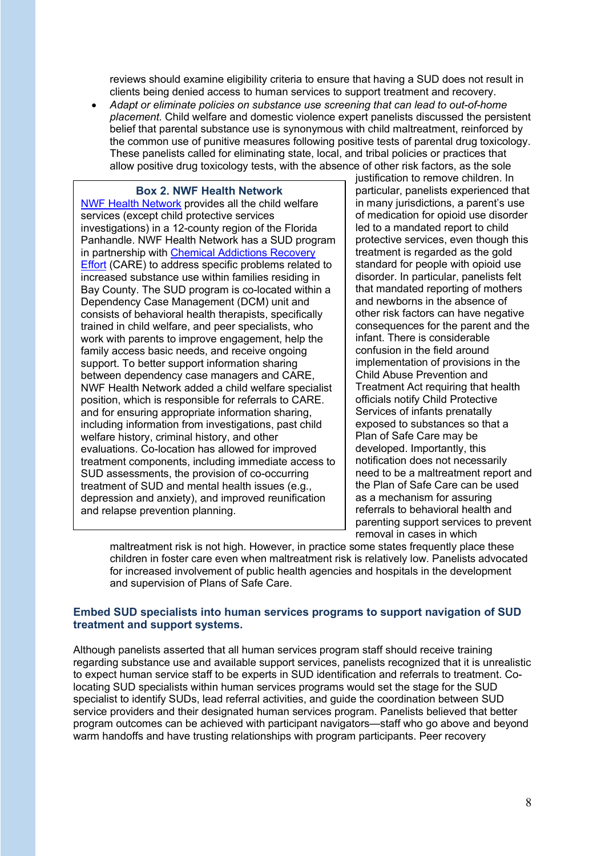reviews should examine eligibility criteria to ensure that having a SUD does not result in clients being denied access to human services to support treatment and recovery.

• *Adapt or eliminate policies on substance use screening that can lead to out-of-home placement.* Child welfare and domestic violence expert panelists discussed the persistent belief that parental substance use is synonymous with child maltreatment, reinforced by the common use of punitive measures following positive tests of parental drug toxicology. These panelists called for eliminating state, local, and tribal policies or practices that allow positive drug toxicology tests, with the absence of other risk factors, as the sole

#### **Box 2. NWF Health Network**

[NWF Health Network](https://www.nwfhealth.org/) provides all the child welfare services (except child protective services investigations) in a 12-county region of the Florida Panhandle. NWF Health Network has a SUD program in partnership with [Chemical Addictions Recovery](https://care4000.com/)  [Effort](https://care4000.com/) (CARE) to address specific problems related to increased substance use within families residing in Bay County. The SUD program is co-located within a Dependency Case Management (DCM) unit and consists of behavioral health therapists, specifically trained in child welfare, and peer specialists, who work with parents to improve engagement, help the family access basic needs, and receive ongoing support. To better support information sharing between dependency case managers and CARE, NWF Health Network added a child welfare specialist position, which is responsible for referrals to CARE. and for ensuring appropriate information sharing, including information from investigations, past child welfare history, criminal history, and other evaluations. Co-location has allowed for improved treatment components, including immediate access to SUD assessments, the provision of co-occurring treatment of SUD and mental health issues (e.g., depression and anxiety), and improved reunification and relapse prevention planning.

justification to remove children. In particular, panelists experienced that in many jurisdictions, a parent's use of medication for opioid use disorder led to a mandated report to child protective services, even though this treatment is regarded as the gold standard for people with opioid use disorder. In particular, panelists felt that mandated reporting of mothers and newborns in the absence of other risk factors can have negative consequences for the parent and the infant. There is considerable confusion in the field around implementation of provisions in the Child Abuse Prevention and Treatment Act requiring that health officials notify Child Protective Services of infants prenatally exposed to substances so that a Plan of Safe Care may be developed. Importantly, this notification does not necessarily need to be a maltreatment report and the Plan of Safe Care can be used as a mechanism for assuring referrals to behavioral health and parenting support services to prevent removal in cases in which

maltreatment risk is not high. However, in practice some states frequently place these children in foster care even when maltreatment risk is relatively low. Panelists advocated for increased involvement of public health agencies and hospitals in the development and supervision of Plans of Safe Care.

#### **Embed SUD specialists into human services programs to support navigation of SUD treatment and support systems.**

Although panelists asserted that all human services program staff should receive training regarding substance use and available support services, panelists recognized that it is unrealistic to expect human service staff to be experts in SUD identification and referrals to treatment. Colocating SUD specialists within human services programs would set the stage for the SUD specialist to identify SUDs, lead referral activities, and guide the coordination between SUD service providers and their designated human services program. Panelists believed that better program outcomes can be achieved with participant navigators—staff who go above and beyond warm handoffs and have trusting relationships with program participants. Peer recovery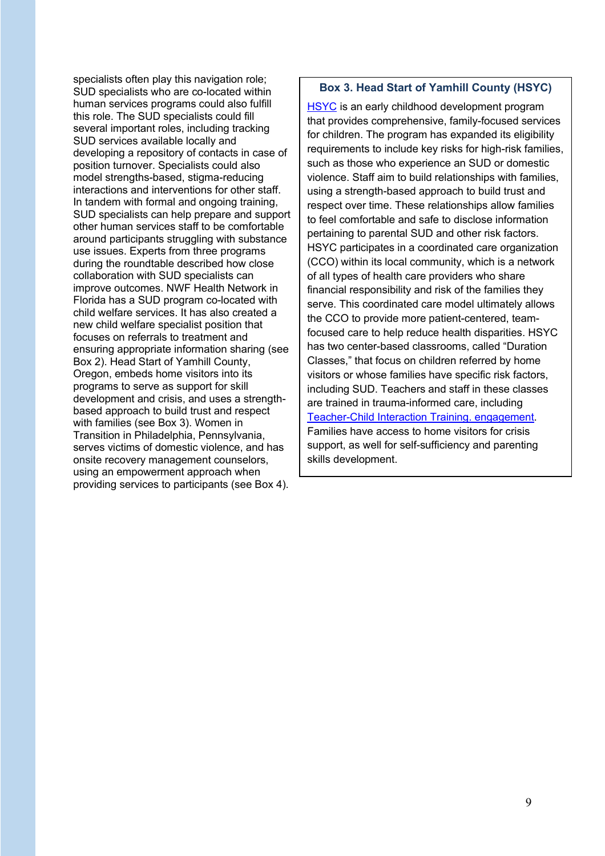specialists often play this navigation role; SUD specialists who are co-located within human services programs could also fulfill this role. The SUD specialists could fill several important roles, including tracking SUD services available locally and developing a repository of contacts in case of position turnover. Specialists could also model strengths-based, stigma-reducing interactions and interventions for other staff. In tandem with formal and ongoing training, SUD specialists can help prepare and support other human services staff to be comfortable around participants struggling with substance use issues. Experts from three programs during the roundtable described how close collaboration with SUD specialists can improve outcomes. NWF Health Network in Florida has a SUD program co-located with child welfare services. It has also created a new child welfare specialist position that focuses on referrals to treatment and ensuring appropriate information sharing (see Box 2). Head Start of Yamhill County, Oregon, embeds home visitors into its programs to serve as support for skill development and crisis, and uses a strengthbased approach to build trust and respect with families (see Box 3). Women in Transition in Philadelphia, Pennsylvania, serves victims of domestic violence, and has onsite recovery management counselors, using an empowerment approach when providing services to participants (see Box 4).

#### **Box 3. Head Start of Yamhill County (HSYC)**

[HSYC](https://yamhillheadstart.org/resources/display/Home) is an early childhood development program that provides comprehensive, family-focused services for children. The program has expanded its eligibility requirements to include key risks for high-risk families, such as those who experience an SUD or domestic violence. Staff aim to build relationships with families, using a strength-based approach to build trust and respect over time. These relationships allow families to feel comfortable and safe to disclose information pertaining to parental SUD and other risk factors. HSYC participates in a coordinated care organization (CCO) within its local community, which is a network of all types of health care providers who share financial responsibility and risk of the families they serve. This coordinated care model ultimately allows the CCO to provide more patient-centered, teamfocused care to help reduce health disparities. HSYC has two center-based classrooms, called "Duration Classes," that focus on children referred by home visitors or whose families have specific risk factors, including SUD. Teachers and staff in these classes are trained in trauma-informed care, including [Teacher-Child Interaction Training. engagement.](https://www.parentchildinteractiontherapy.com/what-is-tcit) Families have access to home visitors for crisis support, as well for self-sufficiency and parenting skills development.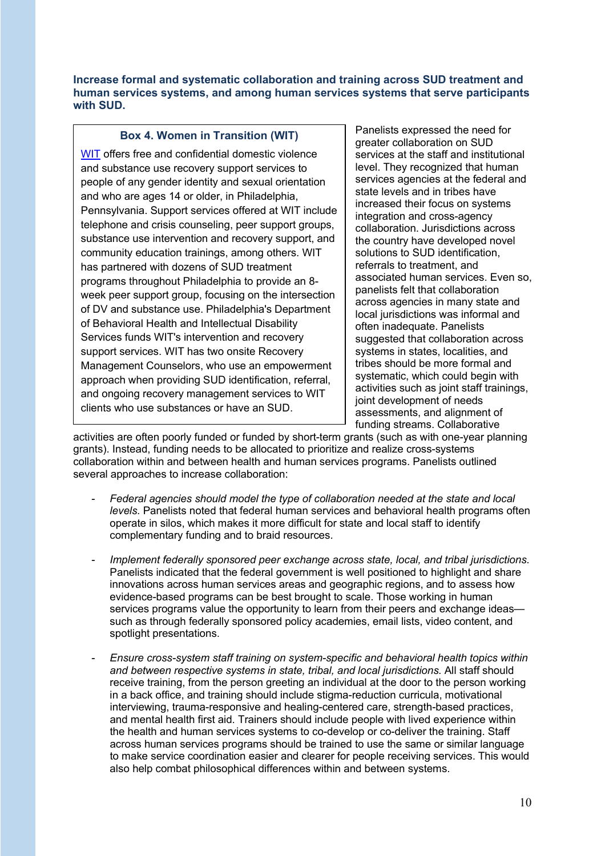**Increase formal and systematic collaboration and training across SUD treatment and human services systems, and among human services systems that serve participants with SUD.**

#### **Box 4. Women in Transition (WIT)**

[WIT](https://www.helpwomen.org/) offers free and confidential domestic violence and substance use recovery support services to people of any gender identity and sexual orientation and who are ages 14 or older, in Philadelphia, Pennsylvania. Support services offered at WIT include telephone and crisis counseling, peer support groups, substance use intervention and recovery support, and community education trainings, among others. WIT has partnered with dozens of SUD treatment programs throughout Philadelphia to provide an 8 week peer support group, focusing on the intersection of DV and substance use. Philadelphia's Department of Behavioral Health and Intellectual Disability Services funds WIT's intervention and recovery support services. WIT has two onsite Recovery Management Counselors, who use an empowerment approach when providing SUD identification, referral, and ongoing recovery management services to WIT clients who use substances or have an SUD.

Panelists expressed the need for greater collaboration on SUD services at the staff and institutional level. They recognized that human services agencies at the federal and state levels and in tribes have increased their focus on systems integration and cross-agency collaboration. Jurisdictions across the country have developed novel solutions to SUD identification, referrals to treatment, and associated human services. Even so, panelists felt that collaboration across agencies in many state and local jurisdictions was informal and often inadequate. Panelists suggested that collaboration across systems in states, localities, and tribes should be more formal and systematic, which could begin with activities such as joint staff trainings, joint development of needs assessments, and alignment of funding streams. Collaborative

activities are often poorly funded or funded by short-term grants (such as with one-year planning grants). Instead, funding needs to be allocated to prioritize and realize cross-systems collaboration within and between health and human services programs. Panelists outlined several approaches to increase collaboration:

- *Federal agencies should model the type of collaboration needed at the state and local levels.* Panelists noted that federal human services and behavioral health programs often operate in silos, which makes it more difficult for state and local staff to identify complementary funding and to braid resources.
- *Implement federally sponsored peer exchange across state, local, and tribal jurisdictions.* Panelists indicated that the federal government is well positioned to highlight and share innovations across human services areas and geographic regions, and to assess how evidence-based programs can be best brought to scale. Those working in human services programs value the opportunity to learn from their peers and exchange ideas such as through federally sponsored policy academies, email lists, video content, and spotlight presentations.
- *Ensure cross-system staff training on system-specific and behavioral health topics within and between respective systems in state, tribal, and local jurisdictions.* All staff should receive training, from the person greeting an individual at the door to the person working in a back office, and training should include stigma-reduction curricula, motivational interviewing, trauma-responsive and healing-centered care, strength-based practices, and mental health first aid. Trainers should include people with lived experience within the health and human services systems to co-develop or co-deliver the training. Staff across human services programs should be trained to use the same or similar language to make service coordination easier and clearer for people receiving services. This would also help combat philosophical differences within and between systems.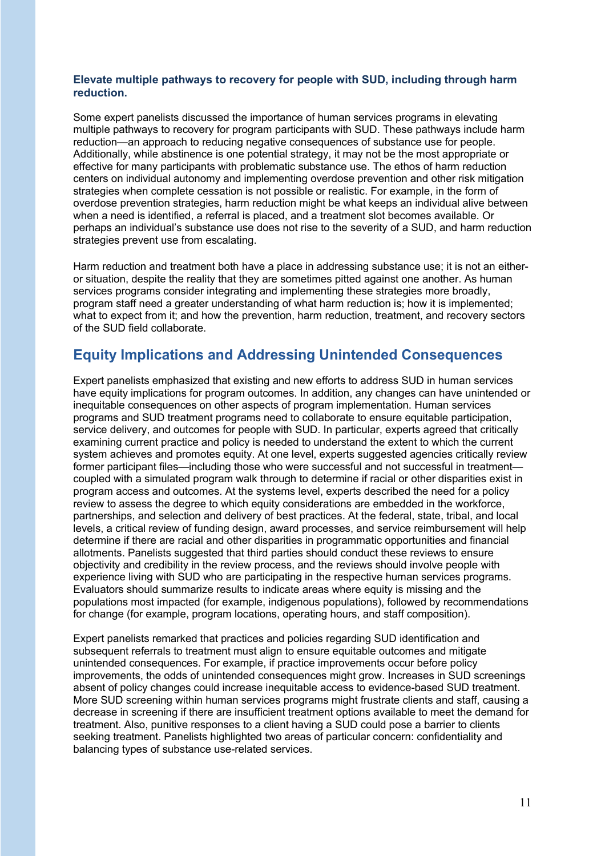#### **Elevate multiple pathways to recovery for people with SUD, including through harm reduction.**

Some expert panelists discussed the importance of human services programs in elevating multiple pathways to recovery for program participants with SUD. These pathways include harm reduction—an approach to reducing negative consequences of substance use for people. Additionally, while abstinence is one potential strategy, it may not be the most appropriate or effective for many participants with problematic substance use. The ethos of harm reduction centers on individual autonomy and implementing overdose prevention and other risk mitigation strategies when complete cessation is not possible or realistic. For example, in the form of overdose prevention strategies, harm reduction might be what keeps an individual alive between when a need is identified, a referral is placed, and a treatment slot becomes available. Or perhaps an individual's substance use does not rise to the severity of a SUD, and harm reduction strategies prevent use from escalating.

Harm reduction and treatment both have a place in addressing substance use; it is not an eitheror situation, despite the reality that they are sometimes pitted against one another. As human services programs consider integrating and implementing these strategies more broadly, program staff need a greater understanding of what harm reduction is; how it is implemented; what to expect from it; and how the prevention, harm reduction, treatment, and recovery sectors of the SUD field collaborate.

# **Equity Implications and Addressing Unintended Consequences**

Expert panelists emphasized that existing and new efforts to address SUD in human services have equity implications for program outcomes. In addition, any changes can have unintended or inequitable consequences on other aspects of program implementation. Human services programs and SUD treatment programs need to collaborate to ensure equitable participation, service delivery, and outcomes for people with SUD. In particular, experts agreed that critically examining current practice and policy is needed to understand the extent to which the current system achieves and promotes equity. At one level, experts suggested agencies critically review former participant files—including those who were successful and not successful in treatment coupled with a simulated program walk through to determine if racial or other disparities exist in program access and outcomes. At the systems level, experts described the need for a policy review to assess the degree to which equity considerations are embedded in the workforce, partnerships, and selection and delivery of best practices. At the federal, state, tribal, and local levels, a critical review of funding design, award processes, and service reimbursement will help determine if there are racial and other disparities in programmatic opportunities and financial allotments. Panelists suggested that third parties should conduct these reviews to ensure objectivity and credibility in the review process, and the reviews should involve people with experience living with SUD who are participating in the respective human services programs. Evaluators should summarize results to indicate areas where equity is missing and the populations most impacted (for example, indigenous populations), followed by recommendations for change (for example, program locations, operating hours, and staff composition).

Expert panelists remarked that practices and policies regarding SUD identification and subsequent referrals to treatment must align to ensure equitable outcomes and mitigate unintended consequences. For example, if practice improvements occur before policy improvements, the odds of unintended consequences might grow. Increases in SUD screenings absent of policy changes could increase inequitable access to evidence-based SUD treatment. More SUD screening within human services programs might frustrate clients and staff, causing a decrease in screening if there are insufficient treatment options available to meet the demand for treatment. Also, punitive responses to a client having a SUD could pose a barrier to clients seeking treatment. Panelists highlighted two areas of particular concern: confidentiality and balancing types of substance use-related services.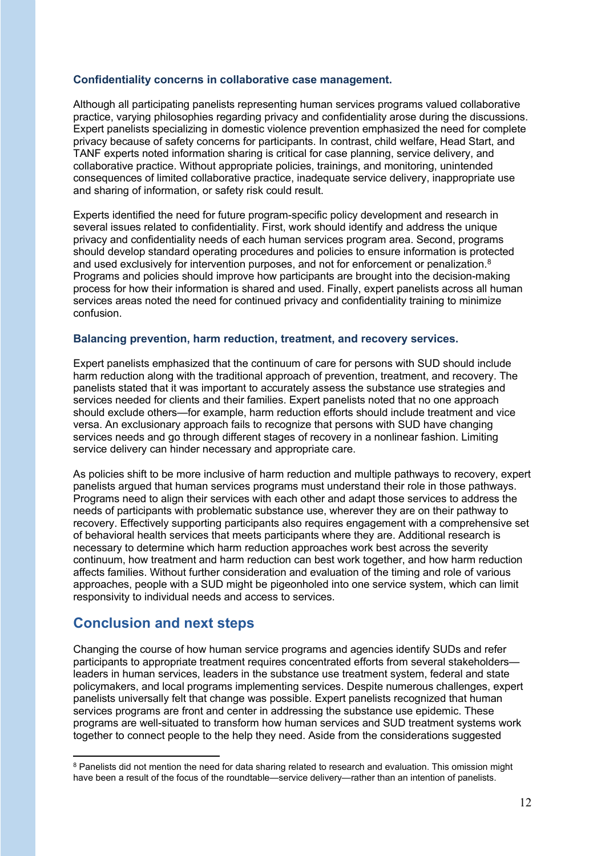#### **Confidentiality concerns in collaborative case management.**

Although all participating panelists representing human services programs valued collaborative practice, varying philosophies regarding privacy and confidentiality arose during the discussions. Expert panelists specializing in domestic violence prevention emphasized the need for complete privacy because of safety concerns for participants. In contrast, child welfare, Head Start, and TANF experts noted information sharing is critical for case planning, service delivery, and collaborative practice. Without appropriate policies, trainings, and monitoring, unintended consequences of limited collaborative practice, inadequate service delivery, inappropriate use and sharing of information, or safety risk could result.

Experts identified the need for future program-specific policy development and research in several issues related to confidentiality. First, work should identify and address the unique privacy and confidentiality needs of each human services program area. Second, programs should develop standard operating procedures and policies to ensure information is protected and used exclusively for intervention purposes, and not for enforcement or penalization.<sup>8</sup> Programs and policies should improve how participants are brought into the decision-making process for how their information is shared and used. Finally, expert panelists across all human services areas noted the need for continued privacy and confidentiality training to minimize confusion.

#### **Balancing prevention, harm reduction, treatment, and recovery services.**

Expert panelists emphasized that the continuum of care for persons with SUD should include harm reduction along with the traditional approach of prevention, treatment, and recovery. The panelists stated that it was important to accurately assess the substance use strategies and services needed for clients and their families. Expert panelists noted that no one approach should exclude others—for example, harm reduction efforts should include treatment and vice versa. An exclusionary approach fails to recognize that persons with SUD have changing services needs and go through different stages of recovery in a nonlinear fashion. Limiting service delivery can hinder necessary and appropriate care.

As policies shift to be more inclusive of harm reduction and multiple pathways to recovery, expert panelists argued that human services programs must understand their role in those pathways. Programs need to align their services with each other and adapt those services to address the needs of participants with problematic substance use, wherever they are on their pathway to recovery. Effectively supporting participants also requires engagement with a comprehensive set of behavioral health services that meets participants where they are. Additional research is necessary to determine which harm reduction approaches work best across the severity continuum, how treatment and harm reduction can best work together, and how harm reduction affects families. Without further consideration and evaluation of the timing and role of various approaches, people with a SUD might be pigeonholed into one service system, which can limit responsivity to individual needs and access to services.

### **Conclusion and next steps**

Changing the course of how human service programs and agencies identify SUDs and refer participants to appropriate treatment requires concentrated efforts from several stakeholders leaders in human services, leaders in the substance use treatment system, federal and state policymakers, and local programs implementing services. Despite numerous challenges, expert panelists universally felt that change was possible. Expert panelists recognized that human services programs are front and center in addressing the substance use epidemic. These programs are well-situated to transform how human services and SUD treatment systems work together to connect people to the help they need. Aside from the considerations suggested

<span id="page-11-0"></span><sup>&</sup>lt;sup>8</sup> Panelists did not mention the need for data sharing related to research and evaluation. This omission might have been a result of the focus of the roundtable—service delivery—rather than an intention of panelists.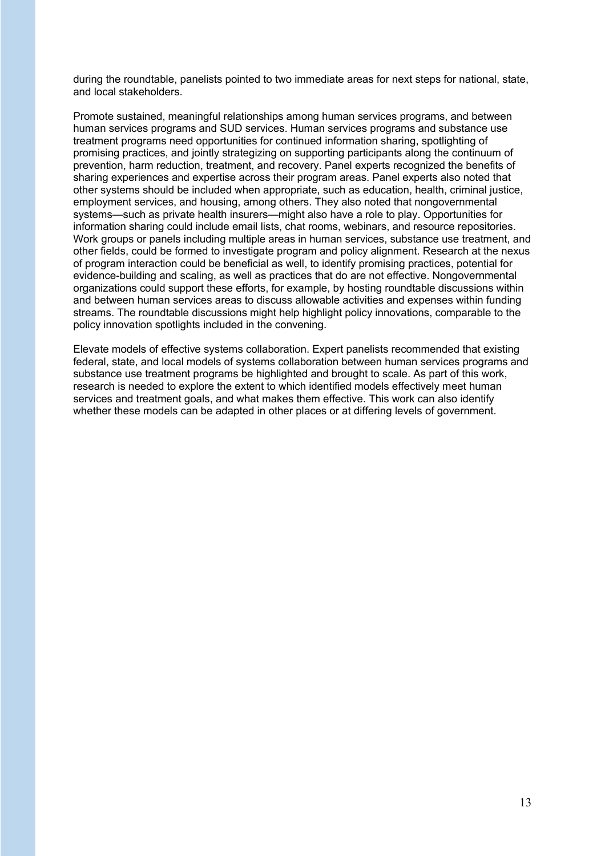during the roundtable, panelists pointed to two immediate areas for next steps for national, state, and local stakeholders.

Promote sustained, meaningful relationships among human services programs, and between human services programs and SUD services. Human services programs and substance use treatment programs need opportunities for continued information sharing, spotlighting of promising practices, and jointly strategizing on supporting participants along the continuum of prevention, harm reduction, treatment, and recovery. Panel experts recognized the benefits of sharing experiences and expertise across their program areas. Panel experts also noted that other systems should be included when appropriate, such as education, health, criminal justice, employment services, and housing, among others. They also noted that nongovernmental systems—such as private health insurers—might also have a role to play. Opportunities for information sharing could include email lists, chat rooms, webinars, and resource repositories. Work groups or panels including multiple areas in human services, substance use treatment, and other fields, could be formed to investigate program and policy alignment. Research at the nexus of program interaction could be beneficial as well, to identify promising practices, potential for evidence-building and scaling, as well as practices that do are not effective. Nongovernmental organizations could support these efforts, for example, by hosting roundtable discussions within and between human services areas to discuss allowable activities and expenses within funding streams. The roundtable discussions might help highlight policy innovations, comparable to the policy innovation spotlights included in the convening.

Elevate models of effective systems collaboration. Expert panelists recommended that existing federal, state, and local models of systems collaboration between human services programs and substance use treatment programs be highlighted and brought to scale. As part of this work, research is needed to explore the extent to which identified models effectively meet human services and treatment goals, and what makes them effective. This work can also identify whether these models can be adapted in other places or at differing levels of government.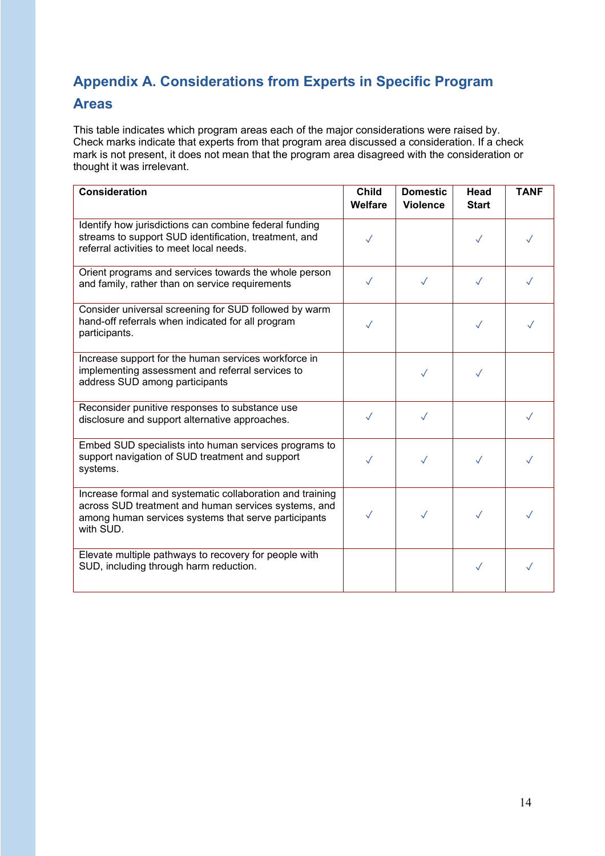# **Appendix A. Considerations from Experts in Specific Program**

# **Areas**

This table indicates which program areas each of the major considerations were raised by. Check marks indicate that experts from that program area discussed a consideration. If a check mark is not present, it does not mean that the program area disagreed with the consideration or thought it was irrelevant.

| <b>Consideration</b>                                                                                                                                                                   | <b>Child</b><br><b>Welfare</b> | <b>Domestic</b><br><b>Violence</b> | <b>Head</b><br><b>Start</b> | <b>TANF</b> |
|----------------------------------------------------------------------------------------------------------------------------------------------------------------------------------------|--------------------------------|------------------------------------|-----------------------------|-------------|
| Identify how jurisdictions can combine federal funding<br>streams to support SUD identification, treatment, and<br>referral activities to meet local needs.                            | ✓                              |                                    | $\checkmark$                |             |
| Orient programs and services towards the whole person<br>and family, rather than on service requirements                                                                               | $\checkmark$                   |                                    |                             |             |
| Consider universal screening for SUD followed by warm<br>hand-off referrals when indicated for all program<br>participants.                                                            | $\checkmark$                   |                                    | $\checkmark$                |             |
| Increase support for the human services workforce in<br>implementing assessment and referral services to<br>address SUD among participants                                             |                                |                                    |                             |             |
| Reconsider punitive responses to substance use<br>disclosure and support alternative approaches.                                                                                       | $\checkmark$                   | $\checkmark$                       |                             |             |
| Embed SUD specialists into human services programs to<br>support navigation of SUD treatment and support<br>systems.                                                                   |                                | $\checkmark$                       | $\checkmark$                |             |
| Increase formal and systematic collaboration and training<br>across SUD treatment and human services systems, and<br>among human services systems that serve participants<br>with SUD. | $\checkmark$                   |                                    | ✓                           |             |
| Elevate multiple pathways to recovery for people with<br>SUD, including through harm reduction.                                                                                        |                                |                                    | $\checkmark$                |             |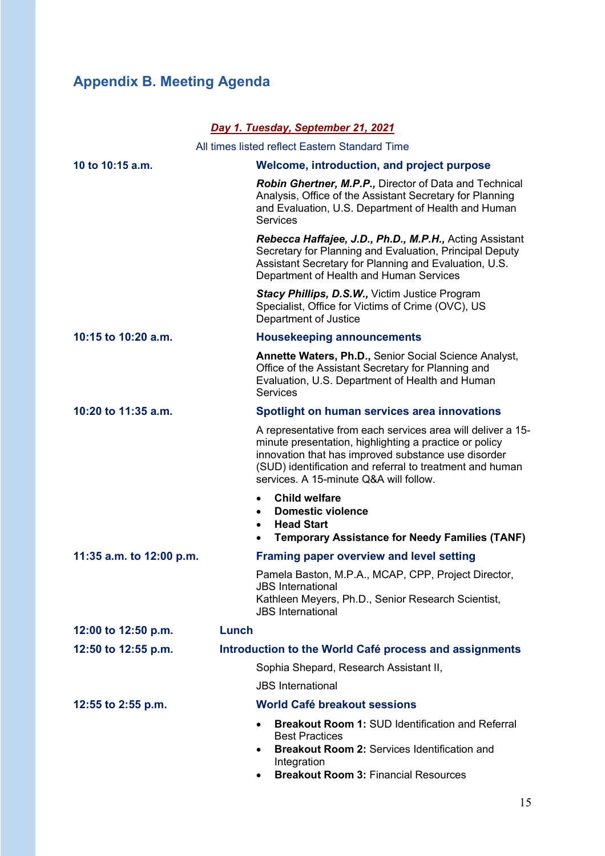# **Appendix B. Meeting Agenda**

|                          | Day 1. Tuesday, September 21, 2021                                                                                                                                                                                                                                                 |  |
|--------------------------|------------------------------------------------------------------------------------------------------------------------------------------------------------------------------------------------------------------------------------------------------------------------------------|--|
|                          | All times listed reflect Eastern Standard Time                                                                                                                                                                                                                                     |  |
| 10 to 10:15 a.m.         | Welcome, introduction, and project purpose                                                                                                                                                                                                                                         |  |
|                          | Robin Ghertner, M.P.P., Director of Data and Technical<br>Analysis, Office of the Assistant Secretary for Planning<br>and Evaluation, U.S. Department of Health and Human<br><b>Services</b>                                                                                       |  |
|                          | Rebecca Haffajee, J.D., Ph.D., M.P.H., Acting Assistant<br>Secretary for Planning and Evaluation, Principal Deputy<br>Assistant Secretary for Planning and Evaluation, U.S.<br>Department of Health and Human Services                                                             |  |
|                          | <b>Stacy Phillips, D.S.W., Victim Justice Program</b><br>Specialist, Office for Victims of Crime (OVC), US<br>Department of Justice                                                                                                                                                |  |
| 10:15 to 10:20 a.m.      | <b>Housekeeping announcements</b>                                                                                                                                                                                                                                                  |  |
|                          | Annette Waters, Ph.D., Senior Social Science Analyst,<br>Office of the Assistant Secretary for Planning and<br>Evaluation, U.S. Department of Health and Human<br><b>Services</b>                                                                                                  |  |
| 10:20 to 11:35 a.m.      | Spotlight on human services area innovations                                                                                                                                                                                                                                       |  |
|                          | A representative from each services area will deliver a 15-<br>minute presentation, highlighting a practice or policy<br>innovation that has improved substance use disorder<br>(SUD) identification and referral to treatment and human<br>services. A 15-minute Q&A will follow. |  |
|                          | <b>Child welfare</b><br>$\bullet$<br><b>Domestic violence</b><br><b>Head Start</b><br>$\bullet$<br><b>Temporary Assistance for Needy Families (TANF)</b><br>$\bullet$                                                                                                              |  |
| 11:35 a.m. to 12:00 p.m. | <b>Framing paper overview and level setting</b>                                                                                                                                                                                                                                    |  |
|                          | Pamela Baston, M.P.A., MCAP, CPP, Project Director,<br><b>JBS</b> International<br>Kathleen Meyers, Ph.D., Senior Research Scientist,<br><b>JBS</b> International                                                                                                                  |  |
| 12:00 to 12:50 p.m.      | Lunch                                                                                                                                                                                                                                                                              |  |
| 12:50 to 12:55 p.m.      | Introduction to the World Café process and assignments                                                                                                                                                                                                                             |  |
|                          | Sophia Shepard, Research Assistant II,                                                                                                                                                                                                                                             |  |
|                          | <b>JBS</b> International                                                                                                                                                                                                                                                           |  |
| 12:55 to 2:55 p.m.       | World Café breakout sessions                                                                                                                                                                                                                                                       |  |
|                          | <b>Breakout Room 1: SUD Identification and Referral</b><br><b>Best Practices</b><br><b>Breakout Room 2: Services Identification and</b><br>$\bullet$<br>Integration<br><b>Breakout Room 3: Financial Resources</b>                                                                 |  |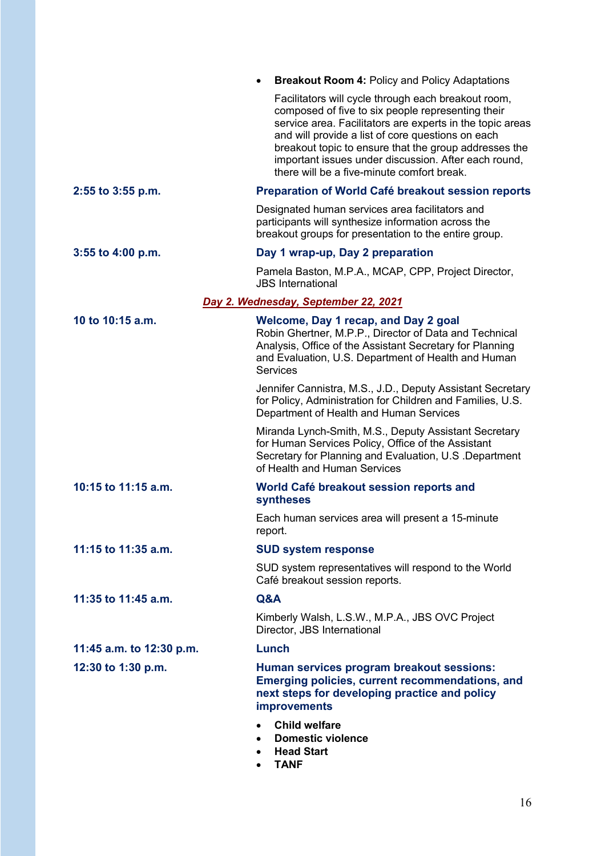|                                      | <b>Breakout Room 4: Policy and Policy Adaptations</b><br>$\bullet$                                                                                                                                                                                                                                                                                                                        |  |  |  |
|--------------------------------------|-------------------------------------------------------------------------------------------------------------------------------------------------------------------------------------------------------------------------------------------------------------------------------------------------------------------------------------------------------------------------------------------|--|--|--|
|                                      | Facilitators will cycle through each breakout room,<br>composed of five to six people representing their<br>service area. Facilitators are experts in the topic areas<br>and will provide a list of core questions on each<br>breakout topic to ensure that the group addresses the<br>important issues under discussion. After each round,<br>there will be a five-minute comfort break. |  |  |  |
| 2:55 to 3:55 p.m.                    | Preparation of World Café breakout session reports                                                                                                                                                                                                                                                                                                                                        |  |  |  |
|                                      | Designated human services area facilitators and<br>participants will synthesize information across the<br>breakout groups for presentation to the entire group.                                                                                                                                                                                                                           |  |  |  |
| 3:55 to 4:00 p.m.                    | Day 1 wrap-up, Day 2 preparation                                                                                                                                                                                                                                                                                                                                                          |  |  |  |
|                                      | Pamela Baston, M.P.A., MCAP, CPP, Project Director,<br><b>JBS</b> International                                                                                                                                                                                                                                                                                                           |  |  |  |
| Day 2. Wednesday, September 22, 2021 |                                                                                                                                                                                                                                                                                                                                                                                           |  |  |  |
| 10 to 10:15 a.m.                     | Welcome, Day 1 recap, and Day 2 goal<br>Robin Ghertner, M.P.P., Director of Data and Technical<br>Analysis, Office of the Assistant Secretary for Planning<br>and Evaluation, U.S. Department of Health and Human<br><b>Services</b>                                                                                                                                                      |  |  |  |
|                                      | Jennifer Cannistra, M.S., J.D., Deputy Assistant Secretary<br>for Policy, Administration for Children and Families, U.S.<br>Department of Health and Human Services                                                                                                                                                                                                                       |  |  |  |
|                                      | Miranda Lynch-Smith, M.S., Deputy Assistant Secretary<br>for Human Services Policy, Office of the Assistant<br>Secretary for Planning and Evaluation, U.S. Department<br>of Health and Human Services                                                                                                                                                                                     |  |  |  |
| 10:15 to 11:15 a.m.                  | World Café breakout session reports and<br>syntheses                                                                                                                                                                                                                                                                                                                                      |  |  |  |
|                                      | Each human services area will present a 15-minute<br>report.                                                                                                                                                                                                                                                                                                                              |  |  |  |
| 11:15 to 11:35 a.m.                  | <b>SUD system response</b>                                                                                                                                                                                                                                                                                                                                                                |  |  |  |
|                                      | SUD system representatives will respond to the World<br>Café breakout session reports.                                                                                                                                                                                                                                                                                                    |  |  |  |
| 11:35 to 11:45 a.m.                  | Q&A                                                                                                                                                                                                                                                                                                                                                                                       |  |  |  |
|                                      | Kimberly Walsh, L.S.W., M.P.A., JBS OVC Project<br>Director, JBS International                                                                                                                                                                                                                                                                                                            |  |  |  |
| 11:45 a.m. to 12:30 p.m.             | Lunch                                                                                                                                                                                                                                                                                                                                                                                     |  |  |  |
| 12:30 to 1:30 p.m.                   | Human services program breakout sessions:<br>Emerging policies, current recommendations, and<br>next steps for developing practice and policy<br><b>improvements</b>                                                                                                                                                                                                                      |  |  |  |
|                                      | <b>Child welfare</b><br><b>Domestic violence</b><br><b>Head Start</b><br><b>TANF</b>                                                                                                                                                                                                                                                                                                      |  |  |  |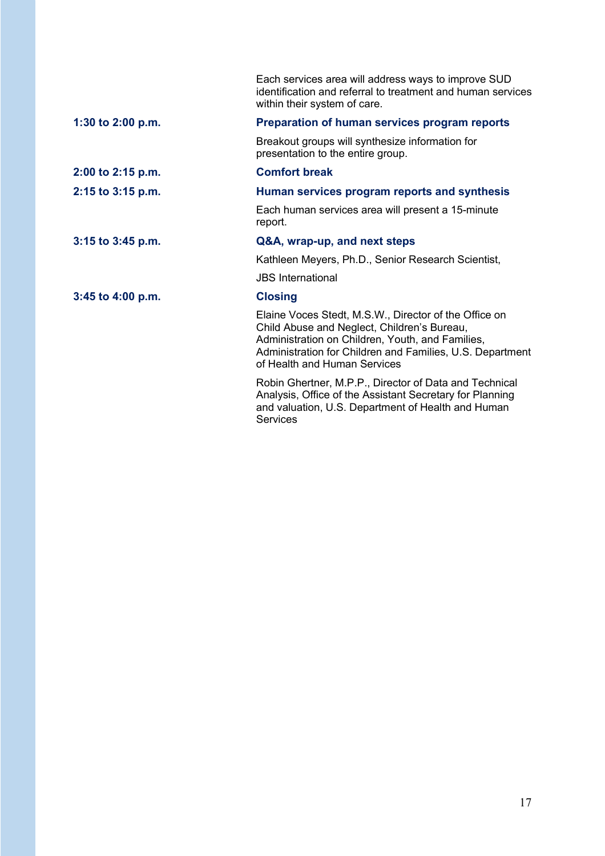|                   | Each services area will address ways to improve SUD<br>identification and referral to treatment and human services<br>within their system of care.                                                                                                    |
|-------------------|-------------------------------------------------------------------------------------------------------------------------------------------------------------------------------------------------------------------------------------------------------|
| 1:30 to 2:00 p.m. | Preparation of human services program reports                                                                                                                                                                                                         |
|                   | Breakout groups will synthesize information for<br>presentation to the entire group.                                                                                                                                                                  |
| 2:00 to 2:15 p.m. | <b>Comfort break</b>                                                                                                                                                                                                                                  |
| 2:15 to 3:15 p.m. | Human services program reports and synthesis                                                                                                                                                                                                          |
|                   | Each human services area will present a 15-minute<br>report.                                                                                                                                                                                          |
| 3:15 to 3:45 p.m. | Q&A, wrap-up, and next steps                                                                                                                                                                                                                          |
|                   | Kathleen Meyers, Ph.D., Senior Research Scientist,                                                                                                                                                                                                    |
|                   | <b>JBS</b> International                                                                                                                                                                                                                              |
| 3:45 to 4:00 p.m. | <b>Closing</b>                                                                                                                                                                                                                                        |
|                   | Elaine Voces Stedt, M.S.W., Director of the Office on<br>Child Abuse and Neglect, Children's Bureau,<br>Administration on Children, Youth, and Families,<br>Administration for Children and Families, U.S. Department<br>of Health and Human Services |
|                   | Robin Ghertner, M.P.P., Director of Data and Technical<br>Analysis, Office of the Assistant Secretary for Planning<br>and valuation, U.S. Department of Health and Human<br>Services                                                                  |